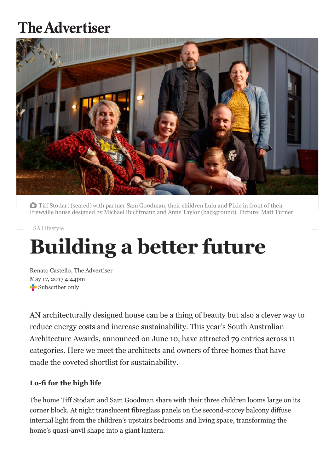# **The Advertiser**



Tiff Stodart (seated) with partner Sam Goodman, their children Lulu and Pixie in front of their Frewville house designed by Michael Buchtmann and Anne Taylor (background). Picture: Matt Turner

SA [Lifestyle](http://www.adelaidenow.com.au/lifestyle/sa-lifestyle)

# Building a better future

Renato Castello, The Advertiser May 17, 2017 4:44pm Subscriber only

AN architecturally designed house can be a thing of beauty but also a clever way to reduce energy costs and increase sustainability. This year's South Australian Architecture Awards, announced on June 10, have attracted 79 entries across 11 categories. Here we meet the architects and owners of three homes that have made the coveted shortlist for sustainability.

### Lo-fi for the high life

The home Tiff Stodart and Sam Goodman share with their three children looms large on its corner block. At night translucent fibreglass panels on the second-storey balcony diffuse internal light from the children's upstairs bedrooms and living space, transforming the home's quasi-anvil shape into a giant lantern.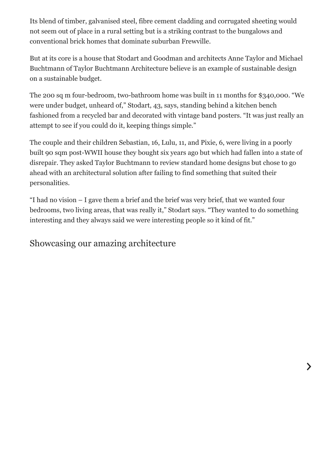Its blend of timber, galvanised steel, fibre cement cladding and corrugated sheeting would not seem out of place in a rural setting but is a striking contrast to the bungalows and conventional brick homes that dominate suburban Frewville.

But at its core is a house that Stodart and Goodman and architects Anne Taylor and Michael Buchtmann of Taylor Buchtmann Architecture believe is an example of sustainable design on a sustainable budget.

The 200 sq m four-bedroom, two-bathroom home was built in 11 months for \$340,000. "We were under budget, unheard of," Stodart, 43, says, standing behind a kitchen bench fashioned from a recycled bar and decorated with vintage band posters. "It was just really an attempt to see if you could do it, keeping things simple."

The couple and their children Sebastian, 16, Lulu, 11, and Pixie, 6, were living in a poorly built 90 sqm post-WWII house they bought six years ago but which had fallen into a state of disrepair. They asked Taylor Buchtmann to review standard home designs but chose to go ahead with an architectural solution after failing to find something that suited their personalities.

"I had no vision – I gave them a brief and the brief was very brief, that we wanted four bedrooms, two living areas, that was really it," Stodart says. "They wanted to do something interesting and they always said we were interesting people so it kind of fit."

# Showcasing our amazing architecture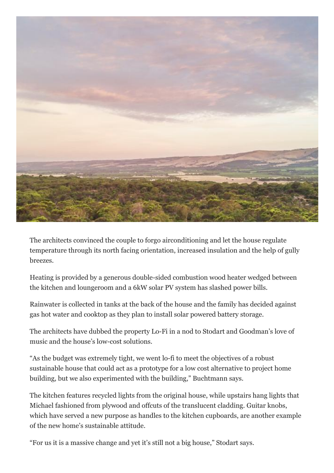

The architects convinced the couple to forgo airconditioning and let the house regulate temperature through its north facing orientation, increased insulation and the help of gully breezes.

Heating is provided by a generous double-sided combustion wood heater wedged between the kitchen and loungeroom and a 6kW solar PV system has slashed power bills.

Rainwater is collected in tanks at the back of the house and the family has decided against gas hot water and cooktop as they plan to install solar powered battery storage.

The architects have dubbed the property Lo-Fi in a nod to Stodart and Goodman's love of music and the house's low-cost solutions.

"As the budget was extremely tight, we went lo-fi to meet the objectives of a robust sustainable house that could act as a prototype for a low cost alternative to project home building, but we also experimented with the building," Buchtmann says.

The kitchen features recycled lights from the original house, while upstairs hang lights that Michael fashioned from plywood and offcuts of the translucent cladding. Guitar knobs, which have served a new purpose as handles to the kitchen cupboards, are another example of the new home's sustainable attitude.

"For us it is a massive change and yet it's still not a big house," Stodart says.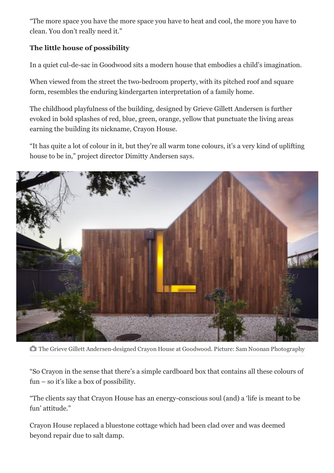"The more space you have the more space you have to heat and cool, the more you have to clean. You don't really need it."

## The little house of possibility

In a quiet cul-de-sac in Goodwood sits a modern house that embodies a child's imagination.

When viewed from the street the two-bedroom property, with its pitched roof and square form, resembles the enduring kindergarten interpretation of a family home.

The childhood playfulness of the building, designed by Grieve Gillett Andersen is further evoked in bold splashes of red, blue, green, orange, yellow that punctuate the living areas earning the building its nickname, Crayon House.

"It has quite a lot of colour in it, but they're all warm tone colours, it's a very kind of uplifting house to be in," project director Dimitty Andersen says.



**The Grieve Gillett Andersen-designed Crayon House at Goodwood. Picture: Sam Noonan Photography** 

"So Crayon in the sense that there's a simple cardboard box that contains all these colours of fun – so it's like a box of possibility.

"The clients say that Crayon House has an energy-conscious soul (and) a 'life is meant to be fun' attitude."

Crayon House replaced a bluestone cottage which had been clad over and was deemed beyond repair due to salt damp.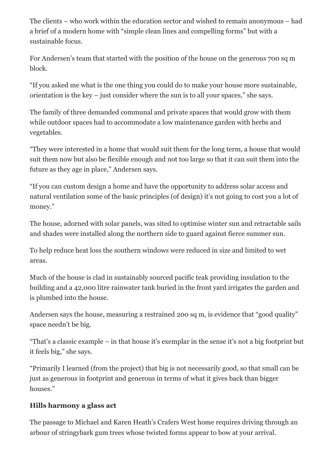The clients – who work within the education sector and wished to remain anonymous – had a brief of a modern home with "simple clean lines and compelling forms" but with a sustainable focus.

For Andersen's team that started with the position of the house on the generous 700 sq m block.

"If you asked me what is the one thing you could do to make your house more sustainable, orientation is the key – just consider where the sun is to all your spaces," she says.

The family of three demanded communal and private spaces that would grow with them while outdoor spaces had to accommodate a low maintenance garden with herbs and vegetables.

"They were interested in a home that would suit them for the long term, a house that would suit them now but also be flexible enough and not too large so that it can suit them into the future as they age in place," Andersen says.

"If you can custom design a home and have the opportunity to address solar access and natural ventilation some of the basic principles (of design) it's not going to cost you a lot of money."

The house, adorned with solar panels, was sited to optimise winter sun and retractable sails and shades were installed along the northern side to guard against fierce summer sun.

To help reduce heat loss the southern windows were reduced in size and limited to wet areas.

Much of the house is clad in sustainably sourced pacific teak providing insulation to the building and a 42,000 litre rainwater tank buried in the front yard irrigates the garden and is plumbed into the house.

Andersen says the house, measuring a restrained 200 sq m, is evidence that "good quality" space needn't be big.

"That's a classic example – in that house it's exemplar in the sense it's not a big footprint but it feels big," she says.

"Primarily I learned (from the project) that big is not necessarily good, so that small can be just as generous in footprint and generous in terms of what it gives back than bigger houses."

### Hills harmony a glass act

The passage to Michael and Karen Heath's Crafers West home requires driving through an arbour of stringybark gum trees whose twisted forms appear to bow at your arrival.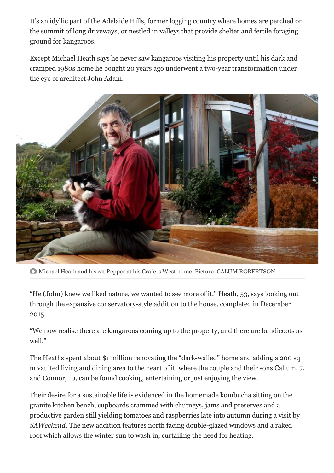It's an idyllic part of the Adelaide Hills, former logging country where homes are perched on the summit of long driveways, or nestled in valleys that provide shelter and fertile foraging ground for kangaroos.

Except Michael Heath says he never saw kangaroos visiting his property until his dark and cramped 1980s home he bought 20 years ago underwent a two-year transformation under the eye of architect John Adam.



Michael Heath and his cat Pepper at his Crafers West home. Picture: CALUM ROBERTSON

"He (John) knew we liked nature, we wanted to see more of it," Heath, 53, says looking out through the expansive conservatorystyle addition to the house, completed in December 2015.

"We now realise there are kangaroos coming up to the property, and there are bandicoots as well."

The Heaths spent about \$1 million renovating the "dark-walled" home and adding a 200 sq m vaulted living and dining area to the heart of it, where the couple and their sons Callum, 7, and Connor, 10, can be found cooking, entertaining or just enjoying the view.

Their desire for a sustainable life is evidenced in the homemade kombucha sitting on the granite kitchen bench, cupboards crammed with chutneys, jams and preserves and a productive garden still yielding tomatoes and raspberries late into autumn during a visit by *SAWeekend*. The new addition features north facing double-glazed windows and a raked roof which allows the winter sun to wash in, curtailing the need for heating.